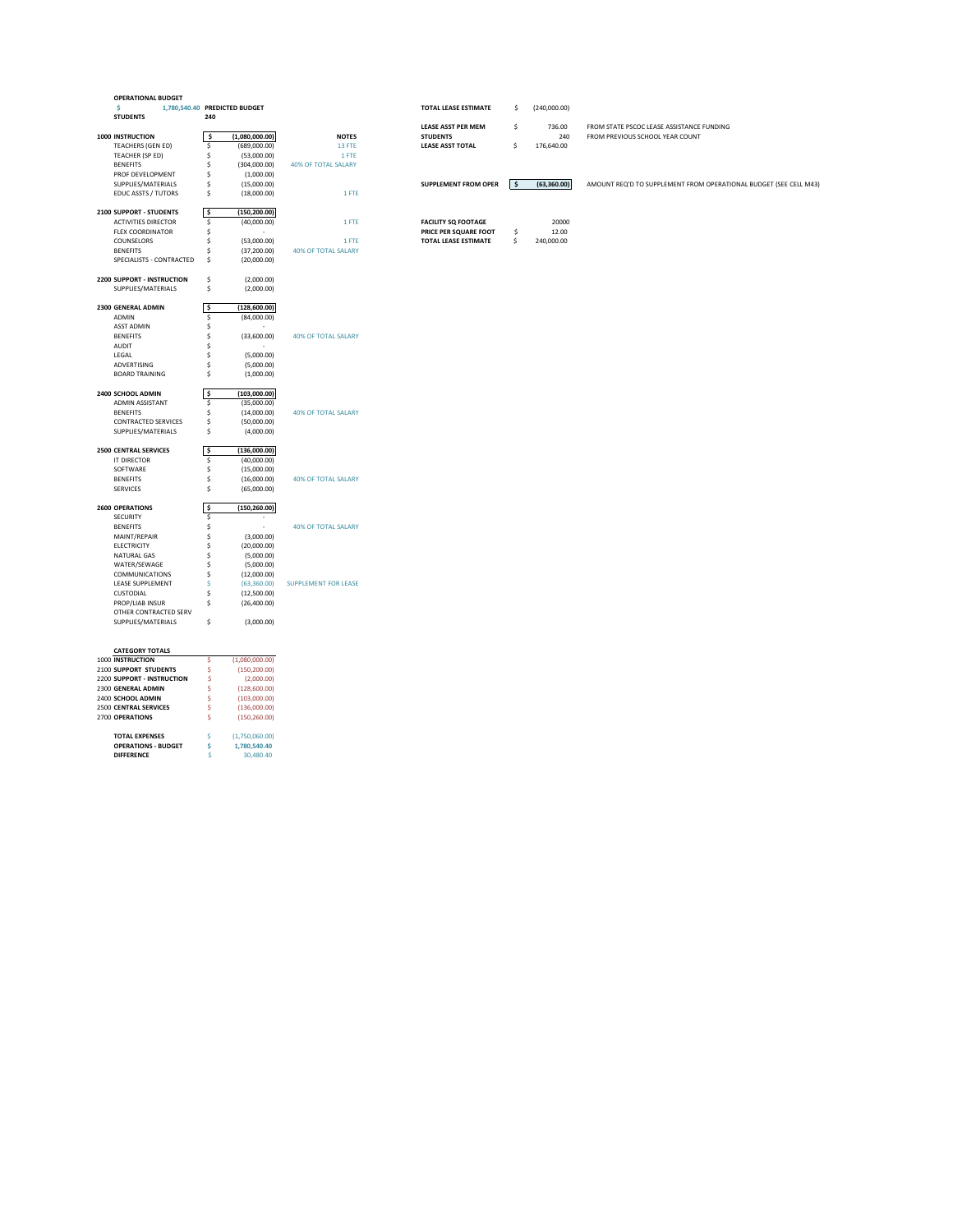| <b>OPERATIONAL BUDGET</b>         |         |                               |                             |                             |                    |                                                                   |
|-----------------------------------|---------|-------------------------------|-----------------------------|-----------------------------|--------------------|-------------------------------------------------------------------|
| -S                                |         | 1,780,540.40 PREDICTED BUDGET |                             | <b>TOTAL LEASE ESTIMATE</b> | \$<br>(240,000.00) |                                                                   |
| <b>STUDENTS</b>                   | 240     |                               |                             |                             |                    |                                                                   |
|                                   |         |                               |                             | <b>LEASE ASST PER MEM</b>   | \$<br>736.00       | FROM STATE PSCOC LEASE ASSISTANCE FUNDING                         |
| <b>1000 INSTRUCTION</b>           | -\$     | (1,080,000.00)                | <b>NOTES</b>                | <b>STUDENTS</b>             | 240                | FROM PREVIOUS SCHOOL YEAR COUNT                                   |
| <b>TEACHERS (GEN ED)</b>          | \$      | (689,000.00)                  | 13 FTE                      | <b>LEASE ASST TOTAL</b>     | \$<br>176,640.00   |                                                                   |
| TEACHER (SP ED)                   |         | (53,000.00)                   | 1 FTE                       |                             |                    |                                                                   |
| <b>BENEFITS</b>                   |         | (304,000.00)                  | <b>40% OF TOTAL SALARY</b>  |                             |                    |                                                                   |
| PROF DEVELOPMENT                  |         | (1,000.00)                    |                             |                             |                    |                                                                   |
| SUPPLIES/MATERIALS                |         | (15,000.00)                   |                             | <b>SUPPLEMENT FROM OPER</b> | \$<br>(63, 360.00) | AMOUNT REQ'D TO SUPPLEMENT FROM OPERATIONAL BUDGET (SEE CELL M43) |
| <b>EDUC ASSTS / TUTORS</b>        | Ŝ.      | (18,000.00)                   | 1 FTE                       |                             |                    |                                                                   |
|                                   |         |                               |                             |                             |                    |                                                                   |
| 2100 SUPPORT - STUDENTS           | l \$    | (150, 200.00)                 |                             |                             |                    |                                                                   |
| <b>ACTIVITIES DIRECTOR</b>        | \$      | (40,000.00)                   | 1 FTE                       | <b>FACILITY SQ FOOTAGE</b>  | 20000              |                                                                   |
| <b>FLEX COORDINATOR</b>           |         | $\sim$                        |                             | PRICE PER SQUARE FOOT       | 12.00              |                                                                   |
|                                   |         |                               |                             |                             | \$                 |                                                                   |
| COUNSELORS                        |         | (53,000.00)                   | 1 FTE                       | TOTAL LEASE ESTIMATE        | \$<br>240,000.00   |                                                                   |
| <b>BENEFITS</b>                   |         | (37,200.00)                   | <b>40% OF TOTAL SALARY</b>  |                             |                    |                                                                   |
| SPECIALISTS - CONTRACTED          | Ŝ.      | (20,000.00)                   |                             |                             |                    |                                                                   |
|                                   |         |                               |                             |                             |                    |                                                                   |
| <b>2200 SUPPORT - INSTRUCTION</b> | \$      | (2,000.00)                    |                             |                             |                    |                                                                   |
| SUPPLIES/MATERIALS                | \$      | (2,000.00)                    |                             |                             |                    |                                                                   |
|                                   |         |                               |                             |                             |                    |                                                                   |
| <b>2300 GENERAL ADMIN</b>         | \$      | (128,600.00)                  |                             |                             |                    |                                                                   |
| ADMIN                             | Ś.      | (84,000.00)                   |                             |                             |                    |                                                                   |
| <b>ASST ADMIN</b>                 |         | $\sim$                        |                             |                             |                    |                                                                   |
| <b>BENEFITS</b>                   |         | (33,600.00)                   | <b>40% OF TOTAL SALARY</b>  |                             |                    |                                                                   |
| <b>AUDIT</b>                      |         | $\sim$                        |                             |                             |                    |                                                                   |
| LEGAL                             |         | (5,000.00)                    |                             |                             |                    |                                                                   |
| ADVERTISING                       |         | (5,000.00)                    |                             |                             |                    |                                                                   |
| <b>BOARD TRAINING</b>             |         | (1,000.00)                    |                             |                             |                    |                                                                   |
|                                   |         |                               |                             |                             |                    |                                                                   |
| 2400 SCHOOL ADMIN                 | 5       | (103,000.00)                  |                             |                             |                    |                                                                   |
| <b>ADMIN ASSISTANT</b>            | \$      | (35,000.00)                   |                             |                             |                    |                                                                   |
| <b>BENEFITS</b>                   |         | (14,000.00)                   | <b>40% OF TOTAL SALARY</b>  |                             |                    |                                                                   |
| <b>CONTRACTED SERVICES</b>        | Ŝ.      | (50,000.00)                   |                             |                             |                    |                                                                   |
| SUPPLIES/MATERIALS                | \$      | (4,000.00)                    |                             |                             |                    |                                                                   |
|                                   |         |                               |                             |                             |                    |                                                                   |
| <b>2500 CENTRAL SERVICES</b>      | 5       | (136,000.00)                  |                             |                             |                    |                                                                   |
| IT DIRECTOR                       | Ŝ       | (40,000.00)                   |                             |                             |                    |                                                                   |
| SOFTWARE                          |         | (15,000.00)                   |                             |                             |                    |                                                                   |
| <b>BENEFITS</b>                   |         | (16,000.00)                   | <b>40% OF TOTAL SALARY</b>  |                             |                    |                                                                   |
| <b>SERVICES</b>                   |         | (65,000.00)                   |                             |                             |                    |                                                                   |
|                                   |         |                               |                             |                             |                    |                                                                   |
| <b>2600 OPERATIONS</b>            | \$      | (150, 260.00)                 |                             |                             |                    |                                                                   |
| SECURITY                          | S       |                               |                             |                             |                    |                                                                   |
| <b>BENEFITS</b>                   |         | $\overline{\phantom{a}}$      | <b>40% OF TOTAL SALARY</b>  |                             |                    |                                                                   |
| MAINT/REPAIR                      |         | (3,000.00)                    |                             |                             |                    |                                                                   |
| <b>ELECTRICITY</b>                |         | (20,000.00)                   |                             |                             |                    |                                                                   |
| NATURAL GAS                       |         | (5,000.00)                    |                             |                             |                    |                                                                   |
| WATER/SEWAGE                      |         | (5,000.00)                    |                             |                             |                    |                                                                   |
| <b>COMMUNICATIONS</b>             |         | (12,000.00)                   |                             |                             |                    |                                                                   |
| LEASE SUPPLEMENT                  |         | (63,360.00)                   | <b>SUPPLEMENT FOR LEASE</b> |                             |                    |                                                                   |
| CUSTODIAL                         |         | (12,500.00)                   |                             |                             |                    |                                                                   |
| PROP/LIAB INSUR                   | Ŝ.      | (26,400.00)                   |                             |                             |                    |                                                                   |
| OTHER CONTRACTED SERV             |         |                               |                             |                             |                    |                                                                   |
| SUPPLIES/MATERIALS                | \$      | (3,000.00)                    |                             |                             |                    |                                                                   |
|                                   |         |                               |                             |                             |                    |                                                                   |
|                                   |         |                               |                             |                             |                    |                                                                   |
| <b>CATEGORY TOTALS</b>            |         |                               |                             |                             |                    |                                                                   |
| 1000 INSTRUCTION                  | \$      | (1,080,000.00)                |                             |                             |                    |                                                                   |
| 2100 SUPPORT STUDENTS             | $\zeta$ | (150, 200.00)                 |                             |                             |                    |                                                                   |
| 2200 SUPPORT - INSTRUCTION        | Ŝ.      | (2,000.00)                    |                             |                             |                    |                                                                   |
| 2300 GENERAL ADMIN                |         | (128,600.00)                  |                             |                             |                    |                                                                   |
| 2400 SCHOOL ADMIN                 |         | (103,000.00)                  |                             |                             |                    |                                                                   |
| 2500 CENTRAL SERVICES             |         | (136,000.00)                  |                             |                             |                    |                                                                   |
| 2700 OPERATIONS                   |         | (150, 260.00)                 |                             |                             |                    |                                                                   |
|                                   |         |                               |                             |                             |                    |                                                                   |

**TOTAL EXPENSES**  $(1,750,060.00)$ **OPERATIONS - BUDGET**  $\begin{array}{cc} \text{S} & 1,780,540.40 \\ \text{DIFFERENCE} & \text{S} & 30,480.40 \end{array}$ 

**DIFFERENCE** \$ 30,480.40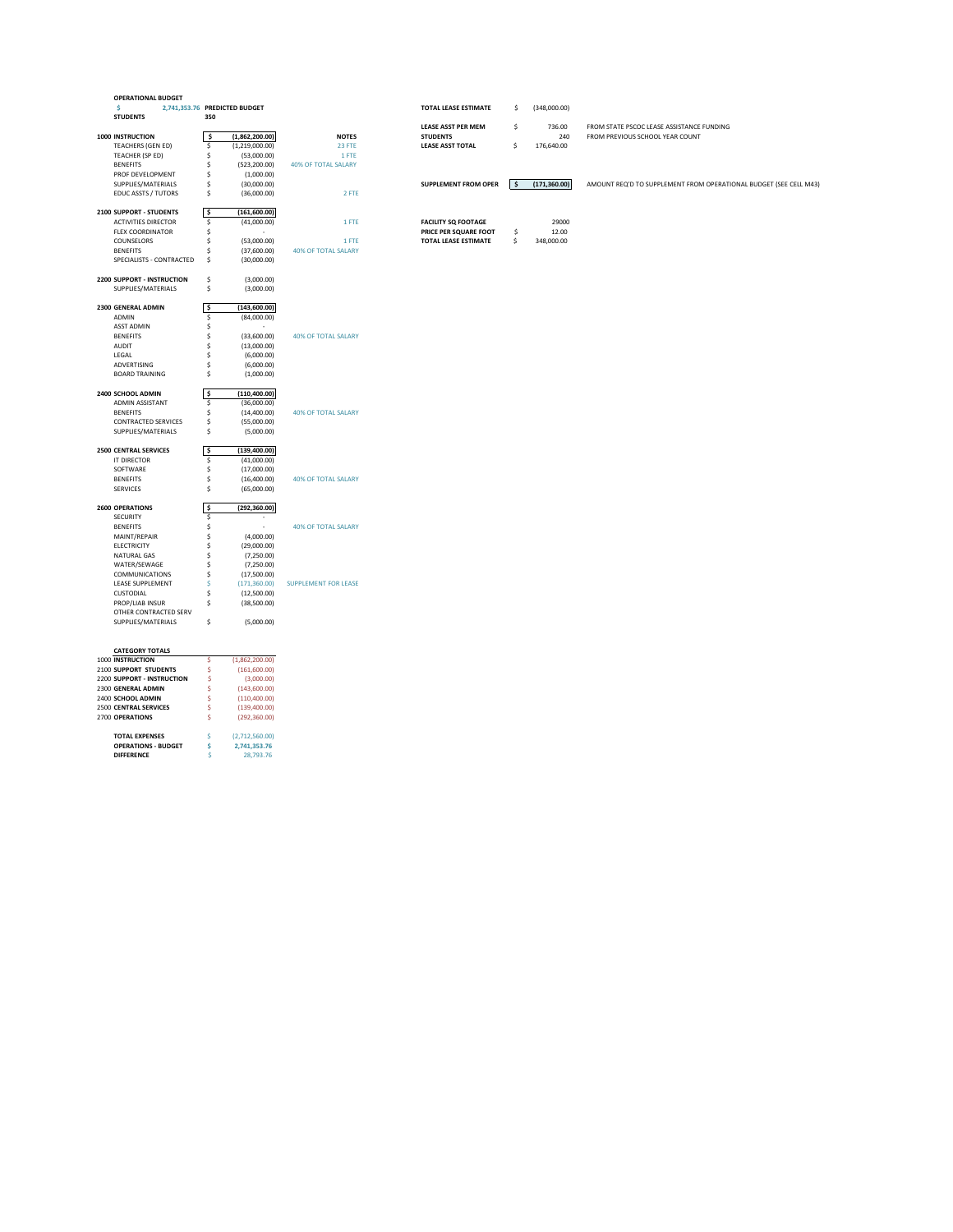| <b>OPERATIONAL BUDGET</b>         |      |                               |                             |                             |      |               |                                                                   |
|-----------------------------------|------|-------------------------------|-----------------------------|-----------------------------|------|---------------|-------------------------------------------------------------------|
| \$.                               |      | 2,741,353.76 PREDICTED BUDGET |                             | <b>TOTAL LEASE ESTIMATE</b> | \$   | (348,000.00)  |                                                                   |
| <b>STUDENTS</b>                   | 350  |                               |                             |                             |      |               |                                                                   |
|                                   |      |                               |                             | <b>LEASE ASST PER MEM</b>   | \$   | 736.00        | FROM STATE PSCOC LEASE ASSISTANCE FUNDING                         |
| <b>1000 INSTRUCTION</b>           | \$   | (1,862,200.00)                | <b>NOTES</b>                | <b>STUDENTS</b>             |      | 240           | FROM PREVIOUS SCHOOL YEAR COUNT                                   |
| <b>TEACHERS (GEN ED)</b>          | \$   | (1,219,000.00)                | 23 FTE                      | <b>LEASE ASST TOTAL</b>     | \$   | 176,640.00    |                                                                   |
| TEACHER (SP ED)                   |      | (53,000.00)                   | 1 FTE                       |                             |      |               |                                                                   |
| <b>BENEFITS</b>                   |      |                               |                             |                             |      |               |                                                                   |
|                                   |      | (523, 200.00)                 | <b>40% OF TOTAL SALARY</b>  |                             |      |               |                                                                   |
| PROF DEVELOPMENT                  |      | (1,000.00)                    |                             |                             |      |               |                                                                   |
| SUPPLIES/MATERIALS                |      | (30,000.00)                   |                             | <b>SUPPLEMENT FROM OPER</b> | l \$ | (171, 360.00) | AMOUNT REQ'D TO SUPPLEMENT FROM OPERATIONAL BUDGET (SEE CELL M43) |
| <b>EDUC ASSTS / TUTORS</b>        | \$   | (36,000.00)                   | 2 FTE                       |                             |      |               |                                                                   |
| <b>2100 SUPPORT - STUDENTS</b>    | ۱\$. | (161,600.00)                  |                             |                             |      |               |                                                                   |
| <b>ACTIVITIES DIRECTOR</b>        | \$   | (41,000.00)                   | 1 FTE                       | <b>FACILITY SQ FOOTAGE</b>  |      | 29000         |                                                                   |
| <b>FLEX COORDINATOR</b>           | Ś    | $\sim$                        |                             | PRICE PER SQUARE FOOT       |      | 12.00         |                                                                   |
|                                   |      |                               |                             |                             | \$   |               |                                                                   |
| COUNSELORS                        |      | (53,000.00)                   | 1 FTE                       | TOTAL LEASE ESTIMATE        | \$   | 348,000.00    |                                                                   |
| <b>BENEFITS</b>                   |      | (37,600.00)                   | <b>40% OF TOTAL SALARY</b>  |                             |      |               |                                                                   |
| SPECIALISTS - CONTRACTED          | Ś    | (30,000.00)                   |                             |                             |      |               |                                                                   |
| <b>2200 SUPPORT - INSTRUCTION</b> | \$   | (3,000.00)                    |                             |                             |      |               |                                                                   |
| SUPPLIES/MATERIALS                | \$   | (3,000.00)                    |                             |                             |      |               |                                                                   |
|                                   |      |                               |                             |                             |      |               |                                                                   |
| 2300 GENERAL ADMIN                | \$ ا | (143,600.00)                  |                             |                             |      |               |                                                                   |
| ADMIN                             | \$   | (84,000.00)                   |                             |                             |      |               |                                                                   |
| <b>ASST ADMIN</b>                 |      | $\sim$                        |                             |                             |      |               |                                                                   |
| <b>BENEFITS</b>                   |      | (33,600.00)                   | 40% OF TOTAL SALARY         |                             |      |               |                                                                   |
| <b>AUDIT</b>                      |      | (13,000.00)                   |                             |                             |      |               |                                                                   |
| LEGAL                             |      | (6,000.00)                    |                             |                             |      |               |                                                                   |
| ADVERTISING                       |      | (6,000.00)                    |                             |                             |      |               |                                                                   |
|                                   |      |                               |                             |                             |      |               |                                                                   |
| <b>BOARD TRAINING</b>             |      | (1,000.00)                    |                             |                             |      |               |                                                                   |
| 2400 SCHOOL ADMIN                 | l \$ | (110, 400.00)                 |                             |                             |      |               |                                                                   |
| ADMIN ASSISTANT                   | \$   | (36,000.00)                   |                             |                             |      |               |                                                                   |
| <b>BENEFITS</b>                   |      | (14,400.00)                   | 40% OF TOTAL SALARY         |                             |      |               |                                                                   |
| <b>CONTRACTED SERVICES</b>        |      | (55,000.00)                   |                             |                             |      |               |                                                                   |
| SUPPLIES/MATERIALS                | Ś    | (5,000.00)                    |                             |                             |      |               |                                                                   |
|                                   |      |                               |                             |                             |      |               |                                                                   |
| <b>2500 CENTRAL SERVICES</b>      | \$   | (139, 400.00)                 |                             |                             |      |               |                                                                   |
| IT DIRECTOR                       | \$   | (41,000.00)                   |                             |                             |      |               |                                                                   |
| SOFTWARE                          |      | (17,000.00)                   |                             |                             |      |               |                                                                   |
| <b>BENEFITS</b>                   |      | (16,400.00)                   | 40% OF TOTAL SALARY         |                             |      |               |                                                                   |
| <b>SERVICES</b>                   |      |                               |                             |                             |      |               |                                                                   |
|                                   |      | (65,000.00)                   |                             |                             |      |               |                                                                   |
| <b>2600 OPERATIONS</b>            | \$   | (292, 360.00)                 |                             |                             |      |               |                                                                   |
| SECURITY                          | Ŝ.   |                               |                             |                             |      |               |                                                                   |
| <b>BENEFITS</b>                   |      | $\sim$                        | <b>40% OF TOTAL SALARY</b>  |                             |      |               |                                                                   |
| MAINT/REPAIR                      |      | (4,000.00)                    |                             |                             |      |               |                                                                   |
| <b>ELECTRICITY</b>                |      | (29,000.00)                   |                             |                             |      |               |                                                                   |
| <b>NATURAL GAS</b>                |      | (7,250.00)                    |                             |                             |      |               |                                                                   |
| WATER/SEWAGE                      |      | (7,250.00)                    |                             |                             |      |               |                                                                   |
|                                   |      |                               |                             |                             |      |               |                                                                   |
| <b>COMMUNICATIONS</b>             |      | (17,500.00)                   |                             |                             |      |               |                                                                   |
| LEASE SUPPLEMENT                  |      | (171, 360.00)                 | <b>SUPPLEMENT FOR LEASE</b> |                             |      |               |                                                                   |
| <b>CUSTODIAL</b>                  |      | (12,500.00)                   |                             |                             |      |               |                                                                   |
| PROP/LIAB INSUR                   | Ś    | (38,500.00)                   |                             |                             |      |               |                                                                   |
| OTHER CONTRACTED SERV             |      |                               |                             |                             |      |               |                                                                   |
| SUPPLIES/MATERIALS                | \$   | (5,000.00)                    |                             |                             |      |               |                                                                   |
|                                   |      |                               |                             |                             |      |               |                                                                   |
| <b>CATEGORY TOTALS</b>            |      |                               |                             |                             |      |               |                                                                   |
| 1000 INSTRUCTION                  | \$   | (1,862,200.00)                |                             |                             |      |               |                                                                   |
| 2100 SUPPORT STUDENTS             | \$.  | (161,600.00)                  |                             |                             |      |               |                                                                   |
| <b>2200 SUPPORT - INSTRUCTION</b> |      | (3,000.00)                    |                             |                             |      |               |                                                                   |
| 2300 GENERAL ADMIN                |      | (143,600.00)                  |                             |                             |      |               |                                                                   |
| 2400 SCHOOL ADMIN                 |      | (110, 400.00)                 |                             |                             |      |               |                                                                   |
| 2500 CENTRAL SERVICES             |      | (139,400.00)                  |                             |                             |      |               |                                                                   |
|                                   |      |                               |                             |                             |      |               |                                                                   |

2700 **OPERATIONS** \$ (292,360.00)

**TOTAL EXPENSES**  $\left(2,712,560.00\right)$ **OPERATIONS - BUDGET**  $\begin{array}{cc} \text{S} & 2,741,353.76 \\ \text{DIFFERENCE} & \text{S} & 28,793.76 \end{array}$ 

**DIFFERENCE** \$ 28,793.76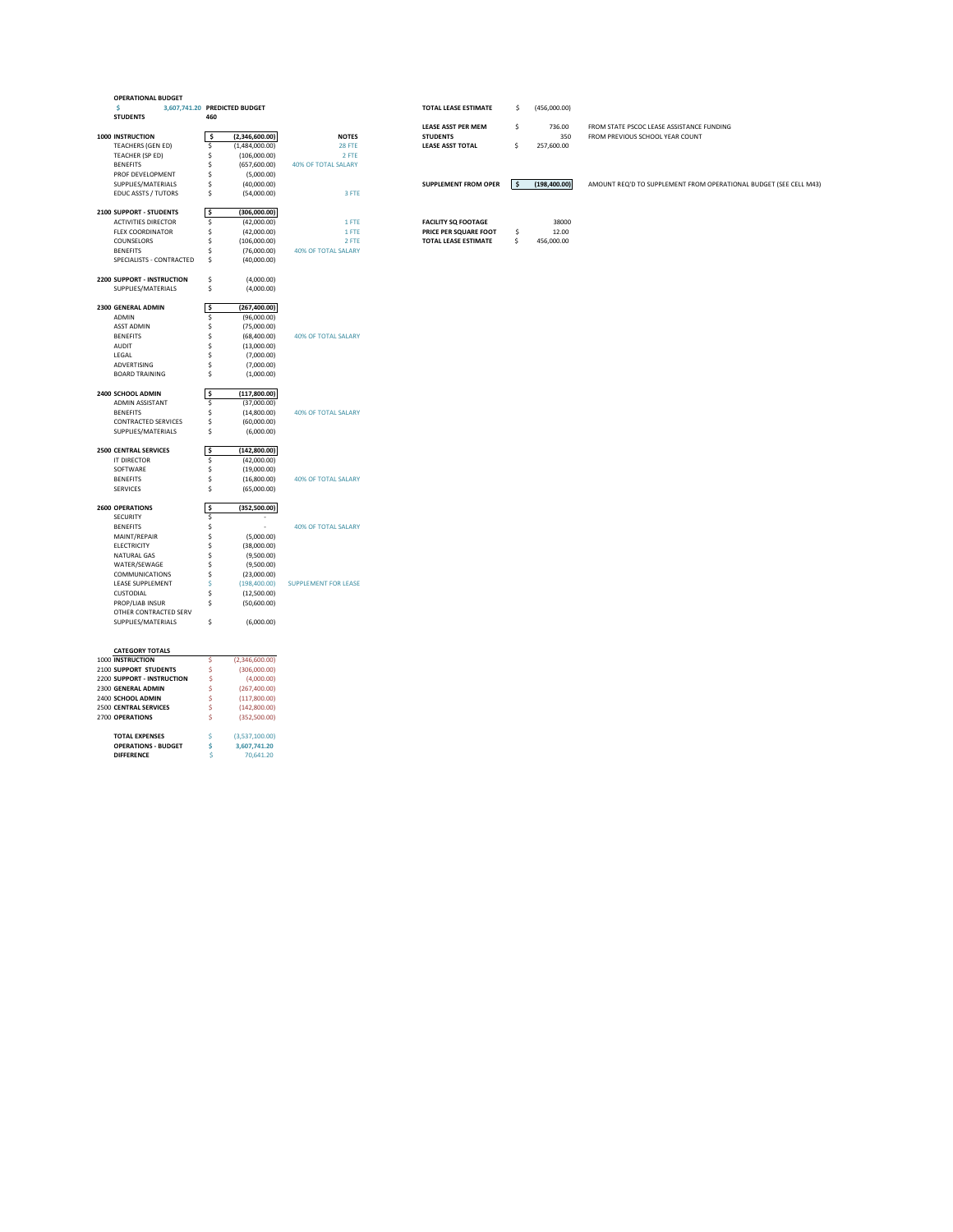| <b>OPERATIONAL BUDGET</b>                  |                               |     |                |                             |                             |      |               |                                                                   |
|--------------------------------------------|-------------------------------|-----|----------------|-----------------------------|-----------------------------|------|---------------|-------------------------------------------------------------------|
| Ŝ.                                         | 3,607,741.20 PREDICTED BUDGET |     |                |                             | <b>TOTAL LEASE ESTIMATE</b> | \$   | (456,000.00)  |                                                                   |
| <b>STUDENTS</b>                            |                               | 460 |                |                             |                             |      |               |                                                                   |
|                                            |                               |     |                |                             | <b>LEASE ASST PER MEM</b>   | \$   | 736.00        | FROM STATE PSCOC LEASE ASSISTANCE FUNDING                         |
| <b>1000 INSTRUCTION</b>                    |                               | \$  | (2,346,600.00) | <b>NOTES</b>                | <b>STUDENTS</b>             |      | 350           | FROM PREVIOUS SCHOOL YEAR COUNT                                   |
| <b>TEACHERS (GEN ED)</b>                   |                               | \$  | (1,484,000.00) | <b>28 FTE</b>               | <b>LEASE ASST TOTAL</b>     | \$   | 257,600.00    |                                                                   |
| TEACHER (SP ED)                            |                               |     | (106,000.00)   | 2 FTE                       |                             |      |               |                                                                   |
| <b>BENEFITS</b>                            |                               |     |                |                             |                             |      |               |                                                                   |
|                                            |                               |     | (657,600.00)   | <b>40% OF TOTAL SALARY</b>  |                             |      |               |                                                                   |
| PROF DEVELOPMENT                           |                               |     | (5,000.00)     |                             |                             |      |               |                                                                   |
| SUPPLIES/MATERIALS                         |                               |     | (40,000.00)    |                             | <b>SUPPLEMENT FROM OPER</b> | l \$ | (198, 400.00) | AMOUNT REQ'D TO SUPPLEMENT FROM OPERATIONAL BUDGET (SEE CELL M43) |
| <b>EDUC ASSTS / TUTORS</b>                 |                               | \$  | (54,000.00)    | 3 FTE                       |                             |      |               |                                                                   |
| 2100 SUPPORT - STUDENTS                    | ۱\$.                          |     | (306,000.00)   |                             |                             |      |               |                                                                   |
| <b>ACTIVITIES DIRECTOR</b>                 |                               | \$  | (42,000.00)    | 1 FTE                       | <b>FACILITY SQ FOOTAGE</b>  |      | 38000         |                                                                   |
| <b>FLEX COORDINATOR</b>                    |                               | \$  | (42,000.00)    | 1 FTE                       | PRICE PER SQUARE FOOT       | \$   | 12.00         |                                                                   |
| COUNSELORS                                 |                               |     | (106,000.00)   | 2 FTE                       | TOTAL LEASE ESTIMATE        | \$   | 456,000.00    |                                                                   |
| <b>BENEFITS</b>                            |                               |     | (76,000.00)    | <b>40% OF TOTAL SALARY</b>  |                             |      |               |                                                                   |
| SPECIALISTS - CONTRACTED                   |                               | Ŝ.  | (40,000.00)    |                             |                             |      |               |                                                                   |
|                                            |                               |     |                |                             |                             |      |               |                                                                   |
| <b>2200 SUPPORT - INSTRUCTION</b>          |                               | \$  | (4,000.00)     |                             |                             |      |               |                                                                   |
| SUPPLIES/MATERIALS                         |                               | \$  | (4,000.00)     |                             |                             |      |               |                                                                   |
| 2300 GENERAL ADMIN                         | \$                            |     | (267, 400.00)  |                             |                             |      |               |                                                                   |
| ADMIN                                      |                               | \$  | (96,000.00)    |                             |                             |      |               |                                                                   |
| <b>ASST ADMIN</b>                          |                               |     | (75,000.00)    |                             |                             |      |               |                                                                   |
| <b>BENEFITS</b>                            |                               |     | (68,400.00)    | <b>40% OF TOTAL SALARY</b>  |                             |      |               |                                                                   |
| <b>AUDIT</b>                               |                               |     | (13,000.00)    |                             |                             |      |               |                                                                   |
|                                            |                               |     |                |                             |                             |      |               |                                                                   |
| LEGAL                                      |                               |     | (7,000.00)     |                             |                             |      |               |                                                                   |
| ADVERTISING                                |                               |     | (7,000.00)     |                             |                             |      |               |                                                                   |
| <b>BOARD TRAINING</b>                      |                               | Ś   | (1,000.00)     |                             |                             |      |               |                                                                   |
| 2400 SCHOOL ADMIN                          | \$                            |     | (117,800.00)   |                             |                             |      |               |                                                                   |
| ADMIN ASSISTANT                            |                               | \$  | (37,000.00)    |                             |                             |      |               |                                                                   |
| <b>BENEFITS</b>                            |                               |     | (14,800.00)    | <b>40% OF TOTAL SALARY</b>  |                             |      |               |                                                                   |
| <b>CONTRACTED SERVICES</b>                 |                               | \$  | (60,000.00)    |                             |                             |      |               |                                                                   |
| SUPPLIES/MATERIALS                         |                               | \$  | (6,000.00)     |                             |                             |      |               |                                                                   |
|                                            |                               |     |                |                             |                             |      |               |                                                                   |
| <b>2500 CENTRAL SERVICES</b>               | \$                            |     | (142,800.00)   |                             |                             |      |               |                                                                   |
| IT DIRECTOR                                |                               | \$  | (42,000.00)    |                             |                             |      |               |                                                                   |
| SOFTWARE                                   |                               |     | (19,000.00)    |                             |                             |      |               |                                                                   |
| <b>BENEFITS</b>                            |                               |     | (16,800.00)    | <b>40% OF TOTAL SALARY</b>  |                             |      |               |                                                                   |
| <b>SERVICES</b>                            |                               |     | (65,000.00)    |                             |                             |      |               |                                                                   |
| <b>2600 OPERATIONS</b>                     | Ŝ.                            |     | (352,500.00)   |                             |                             |      |               |                                                                   |
| <b>SECURITY</b>                            |                               | Ŝ.  |                |                             |                             |      |               |                                                                   |
| <b>BENEFITS</b>                            |                               |     | $\sim$         | <b>40% OF TOTAL SALARY</b>  |                             |      |               |                                                                   |
| MAINT/REPAIR                               |                               |     | (5,000.00)     |                             |                             |      |               |                                                                   |
| <b>ELECTRICITY</b>                         |                               |     | (38,000.00)    |                             |                             |      |               |                                                                   |
| <b>NATURAL GAS</b>                         |                               |     | (9,500.00)     |                             |                             |      |               |                                                                   |
| WATER/SEWAGE                               |                               |     | (9,500.00)     |                             |                             |      |               |                                                                   |
|                                            |                               |     |                |                             |                             |      |               |                                                                   |
| <b>COMMUNICATIONS</b>                      |                               |     | (23,000.00)    |                             |                             |      |               |                                                                   |
| LEASE SUPPLEMENT                           |                               |     | (198,400.00)   | <b>SUPPLEMENT FOR LEASE</b> |                             |      |               |                                                                   |
| <b>CUSTODIAL</b>                           |                               |     | (12,500.00)    |                             |                             |      |               |                                                                   |
| PROP/LIAB INSUR                            |                               | \$  | (50,600.00)    |                             |                             |      |               |                                                                   |
| OTHER CONTRACTED SERV                      |                               |     |                |                             |                             |      |               |                                                                   |
| SUPPLIES/MATERIALS                         |                               | \$  | (6,000.00)     |                             |                             |      |               |                                                                   |
|                                            |                               |     |                |                             |                             |      |               |                                                                   |
| <b>CATEGORY TOTALS</b><br>1000 INSTRUCTION |                               | \$. | (2,346,600.00) |                             |                             |      |               |                                                                   |
| 2100 SUPPORT STUDENTS                      |                               | \$  | (306,000.00)   |                             |                             |      |               |                                                                   |
|                                            |                               |     |                |                             |                             |      |               |                                                                   |
| <b>2200 SUPPORT - INSTRUCTION</b>          |                               |     | (4,000.00)     |                             |                             |      |               |                                                                   |
| 2300 GENERAL ADMIN                         |                               |     | (267, 400.00)  |                             |                             |      |               |                                                                   |
| 2400 SCHOOL ADMIN                          |                               |     | (117,800.00)   |                             |                             |      |               |                                                                   |
| 2500 CENTRAL SERVICES                      |                               |     | (142,800.00)   |                             |                             |      |               |                                                                   |

2700 **OPERATIONS** \$ (352,500.00) **TOTAL EXPENSES**  $\qquad \qquad \diamond$  (3,537,100.00) **OPERATIONS - BUDGET**  $\begin{array}{cc} \text{S} & 3,607,741.20 \\ \text{DIFFERENCE} & \text{S} & 70,641.20 \end{array}$ 70,641.20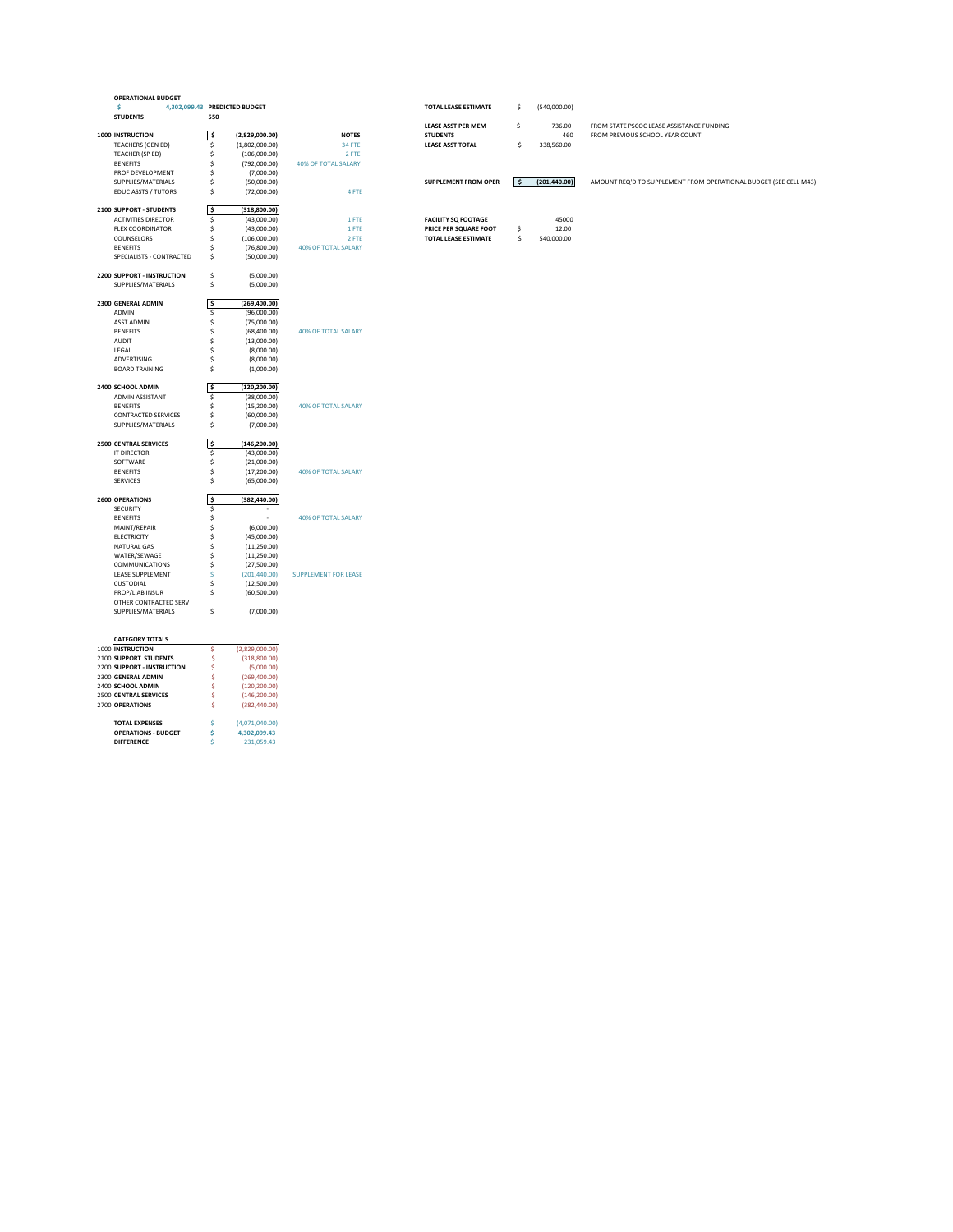| <b>OPERATIONAL BUDGET</b>                  |                     |                               |                             |                             |      |               |                                                                   |
|--------------------------------------------|---------------------|-------------------------------|-----------------------------|-----------------------------|------|---------------|-------------------------------------------------------------------|
|                                            |                     | 4,302,099.43 PREDICTED BUDGET |                             | <b>TOTAL LEASE ESTIMATE</b> | \$   | (540,000.00)  |                                                                   |
| <b>STUDENTS</b>                            | 550                 |                               |                             |                             |      |               |                                                                   |
|                                            |                     |                               |                             | <b>LEASE ASST PER MEM</b>   | \$   | 736.00        | FROM STATE PSCOC LEASE ASSISTANCE FUNDING                         |
| <b>1000 INSTRUCTION</b>                    | \$                  | (2,829,000.00)                | <b>NOTES</b>                | <b>STUDENTS</b>             |      | 460           | FROM PREVIOUS SCHOOL YEAR COUNT                                   |
| <b>TEACHERS (GEN ED)</b>                   | \$                  | (1,802,000.00)                | <b>34 FTE</b>               | <b>LEASE ASST TOTAL</b>     | \$   | 338,560.00    |                                                                   |
| TEACHER (SP ED)                            | Ś                   | (106,000.00)                  | 2 FTE                       |                             |      |               |                                                                   |
| <b>BENEFITS</b>                            |                     | (792,000.00)                  | <b>40% OF TOTAL SALARY</b>  |                             |      |               |                                                                   |
| PROF DEVELOPMENT                           | S                   | (7,000.00)                    |                             |                             |      |               |                                                                   |
| SUPPLIES/MATERIALS                         | \$                  | (50,000.00)                   |                             | <b>SUPPLEMENT FROM OPER</b> | l \$ | (201, 440.00) | AMOUNT REQ'D TO SUPPLEMENT FROM OPERATIONAL BUDGET (SEE CELL M43) |
| <b>EDUC ASSTS / TUTORS</b>                 | \$                  |                               | 4 FTE                       |                             |      |               |                                                                   |
|                                            |                     | (72,000.00)                   |                             |                             |      |               |                                                                   |
|                                            |                     |                               |                             |                             |      |               |                                                                   |
| 2100 SUPPORT - STUDENTS                    | $\ddot{\bm{\zeta}}$ | (318, 800.00)                 |                             |                             |      |               |                                                                   |
| <b>ACTIVITIES DIRECTOR</b>                 | \$                  | (43,000.00)                   | 1 FTE                       | <b>FACILITY SQ FOOTAGE</b>  |      | 45000         |                                                                   |
| <b>FLEX COORDINATOR</b>                    | Ś                   | (43,000.00)                   | 1 FTE                       | PRICE PER SQUARE FOOT       | \$   | 12.00         |                                                                   |
| COUNSELORS                                 | S                   | (106,000.00)                  | 2 FTE                       | <b>TOTAL LEASE ESTIMATE</b> | \$   | 540,000.00    |                                                                   |
| <b>BENEFITS</b>                            | S                   | (76,800.00)                   | <b>40% OF TOTAL SALARY</b>  |                             |      |               |                                                                   |
| SPECIALISTS - CONTRACTED                   | \$                  | (50,000.00)                   |                             |                             |      |               |                                                                   |
|                                            |                     |                               |                             |                             |      |               |                                                                   |
| 2200 SUPPORT - INSTRUCTION                 | \$                  | (5,000.00)                    |                             |                             |      |               |                                                                   |
| SUPPLIES/MATERIALS                         | \$                  | (5,000.00)                    |                             |                             |      |               |                                                                   |
|                                            |                     |                               |                             |                             |      |               |                                                                   |
| 2300 GENERAL ADMIN                         | $\ddot{\bm{\zeta}}$ | (269, 400.00)                 |                             |                             |      |               |                                                                   |
| ADMIN                                      | \$                  | (96,000.00)                   |                             |                             |      |               |                                                                   |
| <b>ASST ADMIN</b>                          |                     | (75,000.00)                   |                             |                             |      |               |                                                                   |
| <b>BENEFITS</b>                            |                     | (68,400.00)                   | <b>40% OF TOTAL SALARY</b>  |                             |      |               |                                                                   |
| <b>AUDIT</b>                               |                     | (13,000.00)                   |                             |                             |      |               |                                                                   |
| LEGAL                                      |                     | (8,000.00)                    |                             |                             |      |               |                                                                   |
| ADVERTISING                                |                     | (8,000.00)                    |                             |                             |      |               |                                                                   |
| <b>BOARD TRAINING</b>                      | Ŝ                   | (1,000.00)                    |                             |                             |      |               |                                                                   |
|                                            |                     |                               |                             |                             |      |               |                                                                   |
| 2400 SCHOOL ADMIN                          | \$                  | (120, 200.00)                 |                             |                             |      |               |                                                                   |
| <b>ADMIN ASSISTANT</b>                     | \$                  | (38,000.00)                   |                             |                             |      |               |                                                                   |
| <b>BENEFITS</b>                            | Ś                   | (15,200.00)                   | <b>40% OF TOTAL SALARY</b>  |                             |      |               |                                                                   |
| <b>CONTRACTED SERVICES</b>                 | Ś                   | (60,000.00)                   |                             |                             |      |               |                                                                   |
| SUPPLIES/MATERIALS                         | \$                  | (7,000.00)                    |                             |                             |      |               |                                                                   |
|                                            |                     |                               |                             |                             |      |               |                                                                   |
| <b>2500 CENTRAL SERVICES</b>               | \$                  | (146, 200.00)                 |                             |                             |      |               |                                                                   |
| <b>IT DIRECTOR</b>                         | S.                  | (43,000.00)                   |                             |                             |      |               |                                                                   |
| SOFTWARE                                   |                     | (21,000.00)                   |                             |                             |      |               |                                                                   |
| <b>BENEFITS</b>                            |                     | (17,200.00)                   | <b>40% OF TOTAL SALARY</b>  |                             |      |               |                                                                   |
| <b>SERVICES</b>                            |                     | (65,000.00)                   |                             |                             |      |               |                                                                   |
|                                            |                     |                               |                             |                             |      |               |                                                                   |
| <b>2600 OPERATIONS</b>                     | -\$                 | (382, 440.00)                 |                             |                             |      |               |                                                                   |
| <b>SECURITY</b>                            | Ś.                  |                               |                             |                             |      |               |                                                                   |
| <b>BENEFITS</b>                            |                     | $\sim$                        | <b>40% OF TOTAL SALARY</b>  |                             |      |               |                                                                   |
| MAINT/REPAIR                               |                     | (6,000.00)                    |                             |                             |      |               |                                                                   |
| <b>ELECTRICITY</b>                         |                     | (45,000.00)                   |                             |                             |      |               |                                                                   |
| <b>NATURAL GAS</b>                         |                     | (11,250.00)                   |                             |                             |      |               |                                                                   |
| WATER/SEWAGE                               |                     | (11,250.00)                   |                             |                             |      |               |                                                                   |
| <b>COMMUNICATIONS</b>                      |                     | (27,500.00)                   |                             |                             |      |               |                                                                   |
| LEASE SUPPLEMENT                           |                     | (201, 440.00)                 | <b>SUPPLEMENT FOR LEASE</b> |                             |      |               |                                                                   |
| <b>CUSTODIAL</b>                           |                     | (12,500.00)                   |                             |                             |      |               |                                                                   |
| PROP/LIAB INSUR                            | \$                  | (60, 500.00)                  |                             |                             |      |               |                                                                   |
| OTHER CONTRACTED SERV                      |                     |                               |                             |                             |      |               |                                                                   |
| SUPPLIES/MATERIALS                         | \$                  | (7,000.00)                    |                             |                             |      |               |                                                                   |
|                                            |                     |                               |                             |                             |      |               |                                                                   |
|                                            |                     |                               |                             |                             |      |               |                                                                   |
|                                            |                     |                               |                             |                             |      |               |                                                                   |
| <b>CATEGORY TOTALS</b><br>1000 INSTRUCTION | <sub>S</sub>        | (2,829,000.00)                |                             |                             |      |               |                                                                   |
|                                            | Ś                   |                               |                             |                             |      |               |                                                                   |
| 2100 SUPPORT STUDENTS                      |                     | (318,800.00)                  |                             |                             |      |               |                                                                   |
| 2200 SUPPORT - INSTRUCTION                 |                     | (5,000.00)                    |                             |                             |      |               |                                                                   |
| 2300 GENERAL ADMIN                         | S                   | (269, 400.00)                 |                             |                             |      |               |                                                                   |
| 2400 SCHOOL ADMIN                          | \$                  | (120, 200.00)                 |                             |                             |      |               |                                                                   |
| 2500 CENTRAL SERVICES                      | \$                  | (146, 200.00)                 |                             |                             |      |               |                                                                   |

2700 **OPERATIONS** \$ (382,440.00) **TOTAL EXPENSES**  $(4,071,040.00)$ **OPERATIONS - BUDGET \$ 4,302,099.43 DIFFERENCE**  $\frac{1}{2}$   $\frac{231,059.43}{2}$